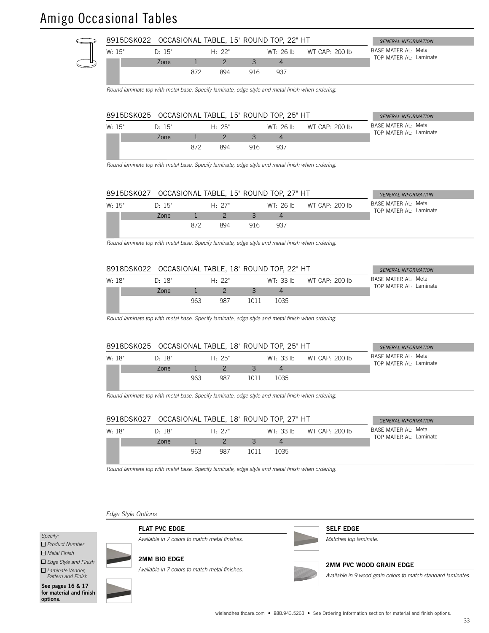# Amigo Occasional Tables



| W: 18" | D∙ 18" |     | $H \cdot 27"$ |      | WT: 33 lb | WT CAP: 200 lb | BASE MATERIAL: Metal<br>TOP MATERIAL: Laminate |
|--------|--------|-----|---------------|------|-----------|----------------|------------------------------------------------|
|        | Zone   |     |               |      |           |                |                                                |
|        |        | 963 | 987           | 1011 | 1035      |                |                                                |

*Round laminate top with metal base. Specify laminate, edge style and metal finish when ordering.*

*Edge Style Options*

#### *Specify:*

 *Product Number*

 *Metal Finish*

 *Edge Style and Finish*

 *Laminate Vendor, Pattern and Finish*

See pages 16 & 17 for material and finish options.



### 2MM BIO EDGE

FLAT PVC EDGE

*Available in 7 colors to match metal finishes.*

*Available in 7 colors to match metal finishes.*



2MM PVC WOOD GRAIN EDGE

*Available in 9 wood grain colors to match standard laminates.*

SELF EDGE *Matches top laminate.*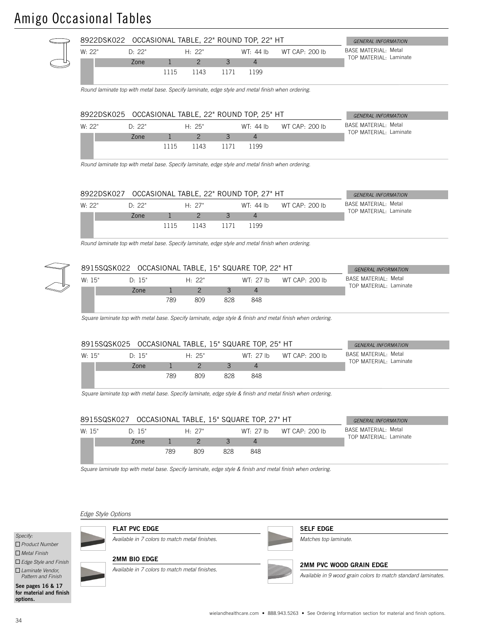# Amigo Occasional Tables



|        |  | 8915SQSK027 |               |     |     | OCCASIONAL TABLE, 15" SQUARE TOP, 27" HT |                | <b>GENERAL INFORMATION</b>                             |
|--------|--|-------------|---------------|-----|-----|------------------------------------------|----------------|--------------------------------------------------------|
| W: 15" |  | D· 15"      | $H \cdot 27"$ |     |     | $WT·$ 27 lb                              | WT CAP: 200 lb | <b>BASE MATERIAL: Metal</b><br>TOP MATFRIAI : Laminate |
|        |  | Zone        |               |     |     |                                          |                |                                                        |
|        |  |             | 789           | 809 | 828 | 848                                      |                |                                                        |

*Square laminate top with metal base. Specify laminate, edge style & finish and metal finish when ordering.*

### *Edge Style Options*



 *Product Number Metal Finish*

 *Edge Style and Finish*

 *Laminate Vendor, Pattern and Finish*

See pages 16 & 17 for material and finish options.



FLAT PVC EDGE

*Available in 7 colors to match metal finishes.*

### SELF EDGE

*Matches top laminate.*

#### 2MM PVC WOOD GRAIN EDGE

*Available in 9 wood grain colors to match standard laminates.*